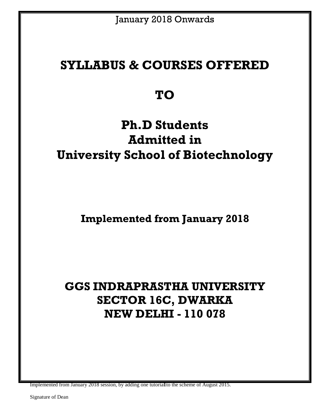## **SYLLABUS & COURSES OFFERED**

## **TO**

# **Ph.D Students Admitted in University School of Biotechnology**

**Implemented from January 2018**

# **GGS INDRAPRASTHA UNIVERSITY SECTOR 16C, DWARKA NEW DELHI - 110 078**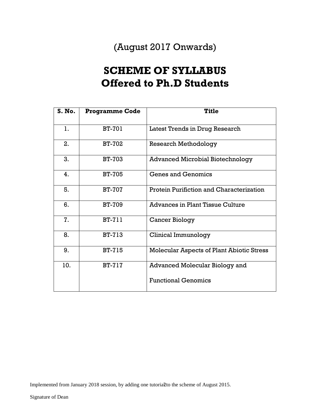### (August 2017 Onwards)

### **SCHEME OF SYLLABUS Offered to Ph.D Students**

| S. No. | <b>Programme Code</b> | <b>Title</b>                              |
|--------|-----------------------|-------------------------------------------|
| 1.     | <b>BT-701</b>         | Latest Trends in Drug Research            |
| 2.     | BT-702                | <b>Research Methodology</b>               |
| 3.     | <b>BT-703</b>         | <b>Advanced Microbial Biotechnology</b>   |
| 4.     | <b>BT-705</b>         | <b>Genes and Genomics</b>                 |
| 5.     | <b>BT-707</b>         | Protein Purifiction and Characterization  |
| 6.     | <b>BT-709</b>         | <b>Advances in Plant Tissue Culture</b>   |
| 7.     | <b>BT-711</b>         | Cancer Biology                            |
| 8.     | <b>BT-713</b>         | Clinical Immunology                       |
| 9.     | <b>BT-715</b>         | Molecular Aspects of Plant Abiotic Stress |
| 10.    | <b>BT-717</b>         | <b>Advanced Molecular Biology and</b>     |
|        |                       | <b>Functional Genomics</b>                |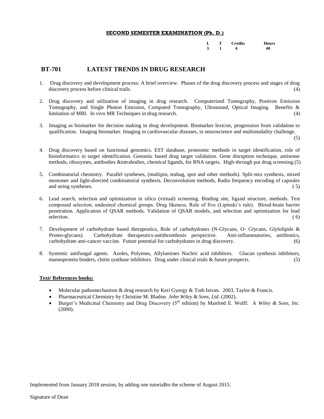|  | L T Credits Hours            |  |
|--|------------------------------|--|
|  | $3 \quad 1 \quad 4 \quad 40$ |  |

#### **BT-701 LATEST TRENDS IN DRUG RESEARCH**

- 1. Drug discovery and development process: A brief overview. Phases of the drug discovery process and stages of drug discovery process before clinical trails. (4)
- 2. Drug discovery and utilization of imaging in drug research. Computerized Tomography, Positron Emission Tomography, and Single Photon Emission, Computed Tomography, Ultrasound, Optical Imaging. Benefits & limitation of MRI. In vivo MR Techniques in drug research. (4)
- 3. Imaging as biomarker for decision making in drug development. Biomarker lexicon, progression from validation to qualification. Imaging biomarker. Imaging in cardiovascular diseases, in neuroscience and multimodality challenge.

(5)

- 4. Drug discovery based on functional genomics. EST database, proteomic methods in target identification, role of bioinformatics in target identification. Genomic based drug target validation. Gene disruption technique, antisense methods, ribozymes, antibodies &intrabodies, chemical ligands, for RNA targets. High-through put drug screening.(5)
- 5. Combinatorial chemistry. Parallel syntheses, (multipin, teabag, spot and other methods). Split-mix synthesis, mixed monomer and light-directed combinatorial synthesis. Deconvolution methods, Radio frequency encoding of capsules and string syntheses. (5)
- 6. Lead search, selection and optimization in silico (virtual) screening. Binding site, ligand structure, methods. Test compound selection, undesired chemical groups. Drug likeness, Rule of five (Lipinski's rule). Blood-brain barrier penetration. Application of QSAR methods. Validation of QSAR models, and selection and optimization for lead  $s$ election.  $(6)$
- 7. Development of carbohydrate based therapeutics, Role of carbohydrates (N-Glycans, O- Glycans, Glylolipids & Proteo-glycans). Carbohydrate therapeutics-antithrombosis perspective. Anti-inflammatories, antibiotics, carbohydrate anti-cancer vaccine. Future potential for carbohydrates in drug discovery. (6)
- 8. Systemic antifungal agents. Azoles, Polyenes, Allylamines Nucleic acid inhibitors. Glucan synthesis inhibitors, mannoprotein binders, chitin synthase inhibitors. Drug under clinical trials  $\&$  future prospects.  $(5)$

#### **Text/ References books:**

- Molecular pathomechanism & drug research by Keri Gyorgy & Toth Istvan. 2003, Taylor & Francis.
- Pharmaceutical Chemistry by Christine M. Bladon. *John Wiley & Sons, Ltd.* (2002).
- Burger's Medicinal Chemistry and Drug Discovery (5<sup>th</sup> edition) by Manfred E. Wolff. A *Wiley & Sons, Inc.* (2000).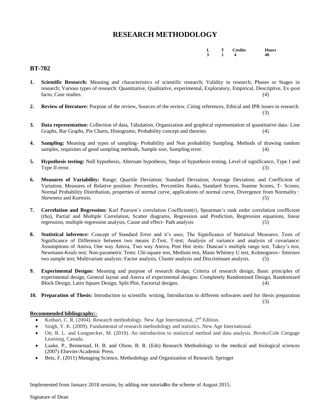### **RESEARCH METHODOLOGY**

|  | L T Credits Hours   |  |
|--|---------------------|--|
|  | $3 \t 1 \t 4 \t 40$ |  |

#### **BT-702**

- **1. Scientific Research:** Meaning and characteristics of scientific research; Validity in research; Phases or Stages in research; Various types of research: Quantitative, Qualitative, experimental, Exploratory, Empirical, Descriptive, Ex-post facto, Case studies. (4)
- **2. Review of literature:** Purpose of the review, Sources of the review, Citing references, Ethical and IPR issues in research. (3)
- **3. Data representation:** Collection of data, Tabulation, Organization and graphical representation of quantitative data- Line Graphs, Bar Graphs, Pie Charts, Histograms; Probability concept and theories. (4)
- **4. Sampling:** Meaning and types of sampling- Probability and Non probability Sampling. Methods of drawing random samples, requisites of good sampling methods, Sample size, Sampling error.
- **5. Hypothesis testing:** Null hypothesis, Alternate hypothesis, Steps of hypothesis testing, Level of significance, Type I and Type II error. (3)
- **6. Measures of Variability:** Range; Quartile Deviation; Standard Deviation; Average Deviation; and Coefficient of Variation; Measures of Relative position: Percentiles, Percentiles Ranks, Standard Scores, Stanine Scores, T- Scores; Normal Probability Distribution, properties of normal curve, applications of normal curve, Divergence from Normality : Skewness and Kurtosis. (5)
- **7. Correlation and Regression:** Karl Pearson's correlation Coefficient(r), Spearman's rank order correlation coefficient (rho), Partial and Multiple Correlation, Scatter diagrams, Regression and Prediction, Regression equations, linear regression, multiple regression analysis, Cause and effect- Path analysis (5)
- **8. Statistical inference:** Concept of Standard Error and it's uses; The Significance of Statistical Measures; Tests of Significance of Difference between two means Z-Test, T-test; Analysis of variance and analysis of covariance: Assumptions of Anova, One way Anova, Two way Anova, Post Hoc tests- Duncan's multiple range test, Tukey's test, Newmann-Keuls test; Non-parametric Tests: Chi-square test, Medium test, Mann Whitney U test, Kolmogorov- Smirnov two sample test; Multivariate analysis: Factor analysis, Cluster analysis and Discriminant analysis. (5)
- **9. Experimental Designs:** Meaning and purpose of research design, Criteria of research design, Basic principles of experimental design, General layout and Anova of experimental designs: Completely Randomized Design, Randomized Block Design, Latin Square Design, Split Plot, Factorial designs. (4)
- **10. Preparation of Thesis:** Introduction to scientific writing, Introduction to different softwares used for thesis preparation

(3)

#### **Recommended bibliography:-**

- Kothari, C. R. (2004). Research methodology. New Age International,  $2<sup>nd</sup>$  Edition.
- Singh, Y. K. (2009). Fundamental of research methodology and statistics. New Age International.
- Ott, R. L. and Longnecker, M. (2010). An introduction to statisrical method and data analysis. Brroks/Cole Cengage Learning, Canada.
- Laake, P., Bennestad, H. B. and Olson, B. R. (Eds) Research Methodology in the medical and biological sciences (2007) Elsevier/Academic Press.
- Betz, F. (2011) Managing Science, Methodology and Organization of Research. Springer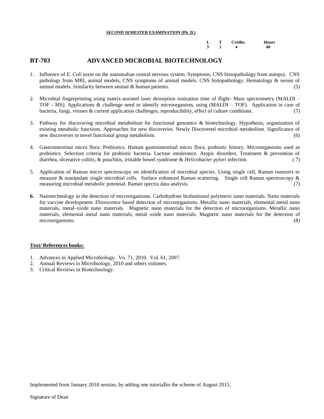|  | L T Credits Hours   |  |
|--|---------------------|--|
|  | $3 \t 1 \t 4 \t 40$ |  |

#### **BT-703 ADVANCED MICROBIAL BIOTECHNOLOGY**

- 1. Influence of *E. Coli* toxin on the mammalian central nervous system. Symptoms, CNS histopathology from autopsy. CNS pathology from MRI, animal models, CNS symptoms of animal models. CNS histopathology, Hematology & serum of animal models. Similarity between animal & human patients. (5)
- 2. Microbial fingerprinting using matrix-assisted laser desorption ionization time of flight- Mass spectrometry (MALDI TOF - MS). Applications & challenge need to identify microorganism, using (MALDI – TOF). Application in case of bacteria, fungi, viruses & current application challenges, reproducibility, effect of culture conditions. (7)
- 3. Pathway for discovering microbial metabolism for functional genomics & biotechnology. Hypothesis, organization of existing metabolic functions. Approaches for new discoveries. Newly Discovered microbial metabolism. Significance of new discoveries in novel functional group metabolism. (6)
- 4. Gastrointestinal micro flora: Probiotics. Human gastrointestinal micro flora, probiotic history. Microorganisms used as probiotics. Selection criteria for probiotic bacteria. Lactose intolerance. Atopic disorders. Treatment & prevention of diarrhea, ulcerative colitis, & pouchitis, irritable bowel syndrome & *Helicobacter pylori* infection. ( 7)
- 5. Application of Raman micro spectroscopy on identification of microbial species. Using single cell, Raman tweezers to measure & manipulate single microbial cells. Surface enhanced Raman scattering. Single cell Raman spectroscopy & measuring microbial metabolic potential. Raman spectra data analysis. (7)
- **6.** Nanotechnology in the detection of microorganisms. Carbohydrate biofuntional polymeric nano materials. Nano materials for vaccine development. Florescence based detection of microorganisms. Metallic nano materials, elemental metal nano materials, metal–oxide nano materials. Magnetic nano materials for the detection of microorganisms. Metallic nano materials, elemental metal nano materials, metal oxide nano materials. Magnetic nano materials for the detection of microorganisms. (8)

#### **Text/ References books:**

- 1. Advances in Applied Microbiology. Vo. 71, 2010. Vol. 61, 2007.
- 2. Annual Reviews in Microbiology, 2010 and others volumes.
- 3. Critical Reviews in Biotechnology.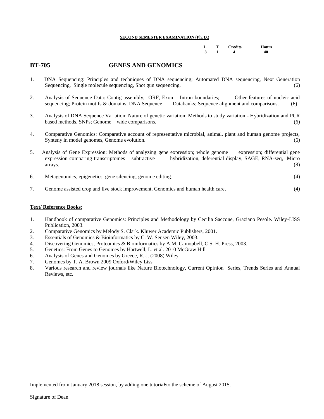|  | L T Credits Hours   |  |
|--|---------------------|--|
|  | $3 \t 1 \t 4 \t 40$ |  |

#### **BT-705 GENES AND GENOMICS**

- 1. DNA Sequencing: Principles and techniques of DNA sequencing; Automated DNA sequencing, Next Generation Sequencing, Single molecule sequencing, Shot gun sequencing. (6)
- 2. Analysis of Sequence Data: Contig assembly, ORF, Exon Intron boundaries; Other features of nucleic acid sequencing; Protein motifs & domains; DNA Sequence Databanks; Sequence alignment and comparisons. (6)
- 3. Analysis of DNA Sequence Variation: Nature of genetic variation; Methods to study variation Hybridization and PCR based methods, SNPs; Genome – wide comparisons. (6)
- 4. Comparative Genomics: Comparative account of representative microbial, animal, plant and human genome projects, Synteny in model genomes, Genome evolution. (6) (6)
- 5. Analysis of Gene Expression: Methods of analyzing gene expression; whole genome expression; differential gene expression comparing transcriptomes – subtractive hybridization, deferential display, SAGE, RNA-seq, Micro  $\frac{1}{8}$  arrays. (8)
- 6. Metagenomics, epigenetics, gene silencing, genome editing. (4)
- 7. Genome assisted crop and live stock improvement, Genomics and human health care. (4)

#### **Text/ Reference Books**:

- 1. Handbook of comparative Genomics: Principles and Methodology by Cecilia Saccone, Graziano Pesole. Wiley-LISS Publication, 2003.
- 2. Comparative Genomics by Melody S. Clark. Kluwer Academic Publishers, 2001.
- 3. Essentials of Genomics & Bioinformatics by C. W. Sensen Wiley, 2003.
- 4. Discovering Genomics, Proteomics & Bioinformatics by A.M. Camopbell, C.S. H. Press, 2003.
- 5. Genetics: From Genes to Genomes by Hartwell, L. et al. 2010 McGraw Hill
- 6. Analysis of Genes and Genomes by Greece, R. J. (2008) Wiley
- 7. Genomes by T. A. Brown 2009 Oxford/Wiley Liss
- 8. Various research and review journals like Nature Biotechnology, Current Opinion Series, Trends Series and Annual Reviews, etc.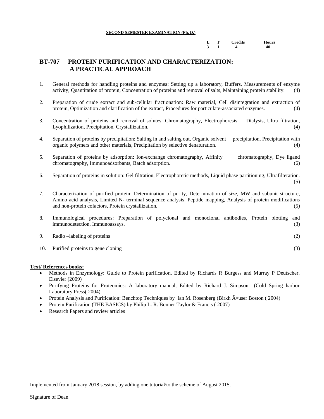|  | L T Credits Hours            |  |
|--|------------------------------|--|
|  | $3 \quad 1 \quad 4 \quad 40$ |  |

#### **BT-707 PROTEIN PURIFICATION AND CHARACTERIZATION: A PRACTICAL APPROACH**

- 1. General methods for handling proteins and enzymes: Setting up a laboratory, Buffers, Measurements of enzyme activity, Quantitation of protein, Concentration of proteins and removal of salts, Maintaining protein stability. (4)
- 2. Preparation of crude extract and sub-cellular fractionation: Raw material, Cell disintegration and extraction of protein, Optimization and clarification of the extract, Procedures for particulate-associated enzymes. (4)
- 3. Concentration of proteins and removal of solutes: Chromatography, Electrophoresis Dialysis, Ultra filtration, Lyophilization, Precipitation, Crystallization. (4)
- 4. Separation of proteins by precipitation: Salting in and salting out, Organic solvent precipitation, Precipitation with organic polymers and other materials, Precipitation by selective denaturation. (4)
- 5. Separation of proteins by adsorption: Ion-exchange chromatography, Affinity chromatography, Dye ligand chromatography, Immunoadsorbants, Batch adsorption. (6)
- 6. Separation of proteins in solution: Gel filtration, Electrophoretic methods, Liquid phase partitioning, Ultrafilteration. (5)
- 7. Characterization of purified protein: Determination of purity, Determination of size, MW and subunit structure, Amino acid analysis, Limited N- terminal sequence analysis. Peptide mapping, Analysis of protein modifications and non-protein cofactors, Protein crystallization. (5)
- 8. Immunological procedures: Preparation of polyclonal and monoclonal antibodies, Protein blotting and immunodetection, Immunoassays. (3)
- 9. Radio –labeling of proteins (2)
- 10. Purified proteins to gene cloning (3)

#### **Text/ References books:**

- Methods in Enzymology: Guide to Protein purification, Edited by Richards R Burgess and Murray P Deutscher. Elsevier (2009)
- Purifying Proteins for Proteomics: A laboratory manual, Edited by Richard J. Simpson (Cold Spring harbor Laboratory Press( 2004)
- [Protein Analysis and Purification: Benchtop Techniques](http://www.amazon.com/Protein-Analysis-Purification-Benchtop-Techniques/dp/0817643400%3FSubscriptionId%3D0CTNNE6VGVCK904KF6G2%26tag%3Dbiowww-20%26linkCode%3Dxm2%26camp%3D2025%26creative%3D165953%26creativeASIN%3D0817643400) by Ian M. Rosenberg (Birkh A¤user Boston ( 2004)
- [Protein Purification](http://www.amazon.com/Protein-Purification-BASICS-Garland-Science/dp/0415385113%3FSubscriptionId%3D0CTNNE6VGVCK904KF6G2%26tag%3Dbiowww-20%26linkCode%3Dxm2%26camp%3D2025%26creative%3D165953%26creativeASIN%3D0415385113) (THE BASICS) by Philip L. R. Bonner Taylor & Francis ( 2007)
- Research Papers and review articles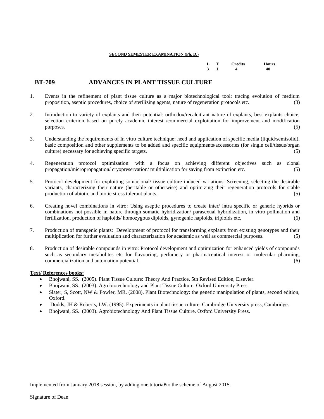|  | L T Credits Hours            |  |
|--|------------------------------|--|
|  | $3 \quad 1 \quad 4 \quad 40$ |  |

#### **BT-709 ADVANCES IN PLANT TISSUE CULTURE**

- 1. Events in the refinement of plant tissue culture as a major biotechnological tool: tracing evolution of medium proposition, aseptic procedures, choice of sterilizing agents, nature of regeneration protocols etc. (3)
- 2. Introduction to variety of explants and their potential: orthodox/recalcitrant nature of explants, best explants choice, selection criterion based on purely academic interest /commercial exploitation for improvement and modification  $p$ urposes. (5)
- 3. Understanding the requirements of In vitro culture technique: need and application of specific media (liquid/semisolid), basic composition and other supplements to be added and specific equipments/accessories (for single cell/tissue/organ culture) necessary for achieving specific targets. (5)
- 4. Regeneration protocol optimization: with a focus on achieving different objectives such as clonal propagation/micropropagation/ cryopreservation/ multiplication for saving from extinction etc. (5)
- 5. Protocol development for exploiting somaclonal/ tissue culture induced variations: Screening, selecting the desirable variants, characterizing their nature (heritable or otherwise) and optimizing their regeneration protocols for stable production of abiotic and biotic stress tolerant plants. (5)
- 6. Creating novel combinations in vitro: Using aseptic procedures to create inter/ intra specific or generic hybrids or combinations not possible in nature through somatic hybridization/ parasexual hybridization, in vitro pollination and fertilization, production of haploids/ homozygous diploids, gynogenic haploids, triploids etc. (6)
- 7. Production of transgenic plants: Development of protocol for transforming explants from existing genotypes and their multiplication for further evaluation and characterization for academic as well as commercial purposes. (5)
- 8. Production of desirable compounds in vitro: Protocol development and optimization for enhanced yields of compounds such as secondary metabolites etc for flavouring, perfumery or pharmaceutical interest or molecular pharming, commercialization and automation potential. (6)

#### **Text/ References books:**

- Bhojwani, SS. (2005). Plant Tissue Culture: Theory And Practice, 5th Revised Edition, Elsevier.
- Bhojwani, SS. (2003). Agrobiotechnology and Plant Tissue Culture. Oxford University Press.
- Slater, S, Scott, NW & Fowler, MR. (2008). Plant Biotechnology: the genetic manipulation of plants, second edition, Oxford.
- Dodds, JH & Roberts, LW. (1995). Experiments in plant tissue culture. Cambridge University press, Cambridge.
- Bhojwani, SS. (2003). Agrobiotechnology And Plant Tissue Culture. Oxford University Press.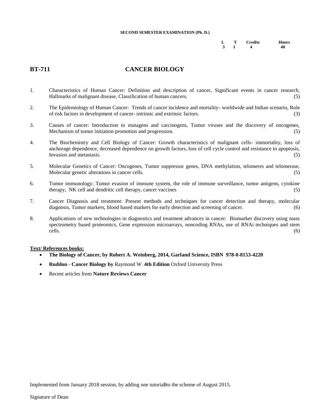|  | L T Credits Hours            |  |
|--|------------------------------|--|
|  | $3 \quad 1 \quad 4 \quad 40$ |  |

### **BT-711 CANCER BIOLOGY**

- 1. Characteristics of Human Cancer: Definition and description of cancer, Significant events in cancer research, Hallmarks of malignant disease, Classification of human cancers. (5)
- 2. The Epidemiology of Human Cancer: Trends of cancer incidence and mortality- worldwide and Indian scenario, Role of risk factors in development of cancer- intrinsic and extrinsic factors. (3)
- 3. Causes of cancer: Introduction to mutagens and carcinogens, Tumor viruses and the discovery of oncogenes, Mechanism of tumor initiation promotion and progression. (5)
- 4. The Biochemistry and Cell Biology of Cancer: Growth characteristics of malignant cells- immortality, loss of anchorage dependence, decreased dependence on growth factors, loss of cell cycle control and resistance to apoptosis, Invasion and metastasis. (5)
- 5. Molecular Genetics of Cancer: Oncogenes, Tumor suppressor genes, DNA methylation, telomeres and telomerase, Molecular genetic alterations in cancer cells. (5)
- 6. Tumor immunology: Tumor evasion of immune system, the role of immune surveillance, tumor antigens, cytokine therapy, NK cell and dendritic cell therapy, cancer vaccines (5)
- 7. Cancer Diagnosis and treatment: Present methods and techniques for cancer detection and therapy, molecular diagnosis, Tumor markers, blood based markers for early detection and screening of cancer. (6)
- 8. Applications of new technologies in diagnostics and treatment advances in cancer: Biomarker discovery using mass spectrometry based proteomics, Gene expression microarrays, noncoding RNAs, use of RNAi techniques and stem cells. (6)

#### **Text/ References books:**

- **The Biology of Cancer, by Robert A. Weinberg, 2014, Garland Science, ISBN 978-0-8153-4220**
- **Ruddon Cancer Biology by** Raymond W. **4th Edition** Oxford University Press
- Recent articles from **Nature Reviews Cancer**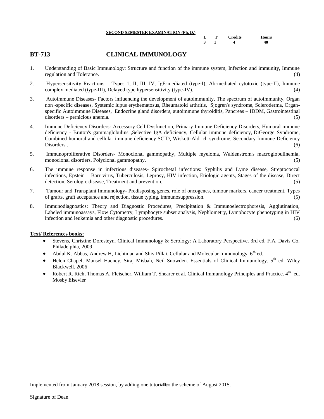| SECOND SEMESTER EAAMINATION (FII. D.) |                           |                |       |
|---------------------------------------|---------------------------|----------------|-------|
|                                       | $\mathbf{L} = \mathbf{T}$ | <b>Credits</b> | Hours |
|                                       |                           |                | 40    |

#### **BT-713 CLINICAL IMMUNOLOGY**

- 1. Understanding of Basic Immunology: Structure and function of the immune system, Infection and immunity, Immune regulation and Tolerance. (4)
- 2. Hypersensitivity Reactions Types 1, II, III, IV, IgE-mediated (type-I), Ab-mediated cytotoxic (type-II), Immune complex mediated (type-III), Delayed type hypersensitivity (type-IV). (4)
- 3. Autoimmune Diseases- Factors influencing the development of autoimmunity, The spectrum of autoimmunity, Organ non -specific diseases, Systemic lupus erythematosus, Rheumatoid arthritis, Sjogren's syndrome, Scleroderma, Organspecific Autoimmune Diseases, Endocrine gland disorders, autoimmune thyroiditis, Pancreas – IDDM, Gastrointestinal disorders – pernicious anemia. (5)
- 4. Immune Deficiency Disorders- Accessory Cell Dysfunction, Primary Immune Deficiency Disorders, Humoral immune deficiency - Bruton's gammaglobulins ,Selective IgA deficiency, Cellular immune deficiency, DiGeorge Syndrome, Combined humoral and cellular immune deficiency SCID, Wiskott-Aldrich syndrome, Secondary Immune Deficiency Disorders . (6)
- 5. Immunoproliferative Disorders- Monoclonal gammopathy, Multiple myeloma, Waldenstrom's macroglobulinemia, monoclonal disorders, Polyclonal gammopathy.
- 6. The immune response in infectious diseases- Spirochetal infections: Syphilis and Lyme disease, Streptococcal infections, Epstein – Barr virus, Tuberculosis, Leprosy, HIV infection, Etiologic agents, Stages of the disease, Direct detection, Serologic disease, Treatment and prevention. (5)
- 7. Tumour and Transplant Immunology- Predisposing genes, role of oncogenes, tumour markers, cancer treatment. Types of grafts, graft acceptance and rejection, tissue typing, immunosuppression. (5)
- 8. Immunodiagnostics: Theory and Diagnostic Procedures, Precipitation & Immunoelectrophoresis, Agglutination, Labeled immunoassays, Flow Cytometry, Lymphocyte subset analysis, Nephlometry, Lymphocyte phenotyping in HIV infection and leukemia and other diagnostic procedures. (6)

#### **Text/ References books:**

- Stevens, Christine Doresteyn. Clinical Immunology & Serology: A Laboratory Perspective. 3rd ed. F.A. Davis Co. Philadelphia, 2009
- Abdul K. Abbas, Andrew H, Lichtman and Shiv Pillai. Cellular and Molecular Immunology. 6<sup>th</sup> ed.
- Helen Chapel, Mansel Haeney, Siraj Misbah, Neil Snowden. Essentials of Clinical Immunology. 5<sup>th</sup> ed. Wiley Blackwell. 2006
- Robert R. Rich, Thomas A. Fleischer, William T. Shearer et al. Clinical Immunology Principles and Practice. 4<sup>th</sup> ed. Mosby Elsevier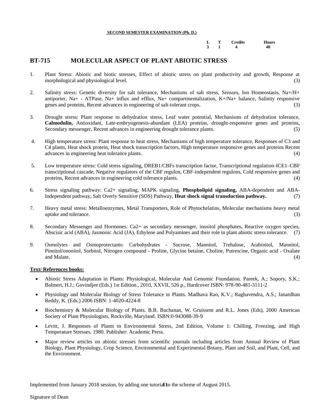|  | L T Credits Hours   |  |
|--|---------------------|--|
|  | $3 \t 1 \t 4 \t 40$ |  |

#### **BT-715 MOLECULAR ASPECT OF PLANT ABIOTIC STRESS**

- 1. Plant Stress: Abiotic and biotic stresses, Effect of abiotic stress on plant productivity and growth, Response at morphological and physiological level. (3)  $(3)$
- 2. Salinity stress: Genetic diversity for salt tolerance, Mechanisms of salt stress, Sensors, Ion Homeostasis, Na+/H+ antiporter, Na+ - ATPase, Na+ influx and efflux, Na+ compartmentalization, K+/Na+ balance, Salinity responsive genes and proteins, Recent advances in engineering of salt-tolerant crops. (3)
- 3. Drought stress: Plant response to dehydration stress, Leaf water potential, Mechanisms of dehydration tolerance, **Calmodulin,** Antioxidant, Late-embryogenesis-abundant (LEA) proteins, drought-responsive genes and proteins, Secondary messenger, Recent advances in engineering drought tolerance plants.
- 4. High temperature stress: Plant response to heat stress, Mechanisms of high temperature tolerance, Responses of C3 and C4 plants, Heat shock protein, Heat shock transcription factors, High temperature responsive genes and proteins Recent advances in engineering heat tolerance plants. (4) (3)
- 5. Low temperature stress: Cold stress signaling, DREB1/CBFs transcription factor, Transcriptional regulation-ICE1–CBF transcriptional cascade, Negative regulators of the CBF regulon, CBF-independent regulons, Cold responsive genes and proteins, Recent advances in engineering cold tolerance plants. (4)
- 6. Stress signaling pathway: Ca2+ signaling, MAPK signaling, **Phospholipid signaling,** ABA-dependent and ABA-Independent pathway, Salt Overly Sensitive (SOS) Pathway, **Heat shock signal transduction pathway.** (7)
- 7. Heavy metal stress: Metalloenzymes, Metal Transporters, Role of Phytochelatins, Molecular mechanisms heavy metal uptake and tolerance. (3)
- 8. Secondary Messenger and Hormones: Ca2+ as secondary messenger, inositol phosphates, Reactive oxygen species, Abscisic acid (ABA), Jasmonic Acid (JA), Ethylene and Polyamines and their role in plant abiotic stress tolerance. (7)
- 9. Osmolytes and Osmoprotectants: Carbohydrates Sucrose, Mannitol, Trehalose, Arabinitol, Mannitol, Pinnitol/ononitol, Sorbitol, Nitrogen compound - Proline, Glycine betaine, Choline, Putrescine, Organic acid - Oxalate and Malate. (4) (3) and the state of the state of the state of the state of the state of the state of the state of the state of the state of the state of the state of the state of the state of the state of the state of the

#### **Text/ References books:**

- Abiotic Stress Adaptation in Plants: Physiological, Molecular And Genomic Foundation. Pareek, A.; Sopory, S.K.; Bohnert, H.J.; Govindjee (Eds.) 1st Edition., 2010, XXVII, 526 p., Hardcover ISBN: 978-90-481-3111-2
- Physiology and Molecular Biology of Stress Tolerance in Plants. Madhava Rao, K.V.; Raghavendra, A.S.; Janardhan Reddy, K. (Eds.) 2006 ISBN: 1-4020-4224-8
- Biochemistry & Molecular Biology of Plants. B.B. Buchanan, W. Gruissem and R.L. Jones (Eds), 2000 American Society of Plant Physiologists, Rockville, Maryland. ISBN:0-943088-39-9
- Levitt, J. Responses of Plants to Environmental Stress, 2nd Edition, Volume 1: Chilling, Freezing, and High Temperature Stresses. 1980. Publisher: Academic Press.
- Major review articles on abiotic stresses from scientific journals including articles from Annual Review of Plant Biology, Plant Physiology, Crop Science, Environmental and Experimental Botany, Plant and Soil, and Plant, Cell, and the Environment.